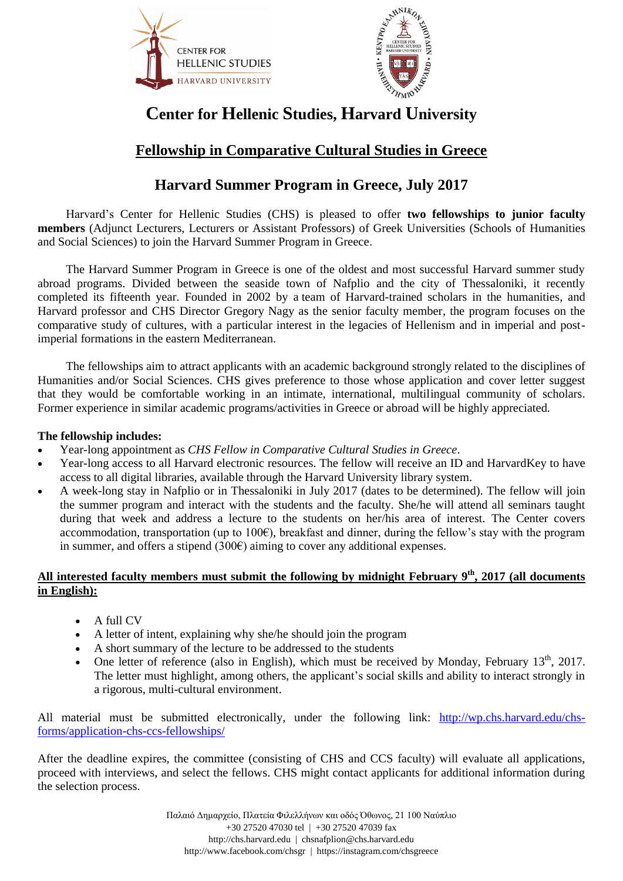



# **Center for Hellenic Studies, Harvard University**

# **Fellowship in Comparative Cultural Studies in Greece**

## **Harvard Summer Program in Greece, July 2017**

Harvard's Center for Hellenic Studies (CHS) is pleased to offer **two fellowships to junior faculty members** (Adjunct Lecturers, Lecturers or Assistant Professors) of Greek Universities (Schools of Humanities and Social Sciences) to join the Harvard Summer Program in Greece.

The Harvard Summer Program in Greece is one of the oldest and most successful Harvard summer study abroad programs. Divided between the seaside town of Nafplio and the city of Thessaloniki, it recently completed its fifteenth year. Founded in 2002 by a team of Harvard-trained scholars in the humanities, and Harvard professor and CHS Director Gregory Nagy as the senior faculty member, the program focuses on the comparative study of cultures, with a particular interest in the legacies of Hellenism and in imperial and postimperial formations in the eastern Mediterranean.

The fellowships aim to attract applicants with an academic background strongly related to the disciplines of Humanities and/or Social Sciences. CHS gives preference to those whose application and cover letter suggest that they would be comfortable working in an intimate, international, multilingual community of scholars. Former experience in similar academic programs/activities in Greece or abroad will be highly appreciated.

#### **The fellowship includes:**

- Year-long appointment as *CHS Fellow in Comparative Cultural Studies in Greece*.
- Year-long access to all Harvard electronic resources. The fellow will receive an ID and HarvardKey to have access to all digital libraries, available through the Harvard University library system.
- A week-long stay in Nafplio or in Thessaloniki in July 2017 (dates to be determined). The fellow will join the summer program and interact with the students and the faculty. She/he will attend all seminars taught during that week and address a lecture to the students on her/his area of interest. The Center covers accommodation, transportation (up to 100€), breakfast and dinner, during the fellow's stay with the program in summer, and offers a stipend  $(300\epsilon)$  aiming to cover any additional expenses.

#### **All interested faculty members must submit the following by midnight February 9 th, 2017 (all documents in English):**

- A full CV
- A letter of intent, explaining why she/he should join the program
- A short summary of the lecture to be addressed to the students
- One letter of reference (also in English), which must be received by Monday, February  $13<sup>th</sup>$ , 2017. The letter must highlight, among others, the applicant's social skills and ability to interact strongly in a rigorous, multi-cultural environment.

All material must be submitted electronically, under the following link: [http://wp.chs.harvard.edu/chs](http://wp.chs.harvard.edu/chs-forms/application-chs-ccs-fellowships/)[forms/application-chs-ccs-fellowships/](http://wp.chs.harvard.edu/chs-forms/application-chs-ccs-fellowships/)

After the deadline expires, the committee (consisting of CHS and CCS faculty) will evaluate all applications, proceed with interviews, and select the fellows. CHS might contact applicants for additional information during the selection process.